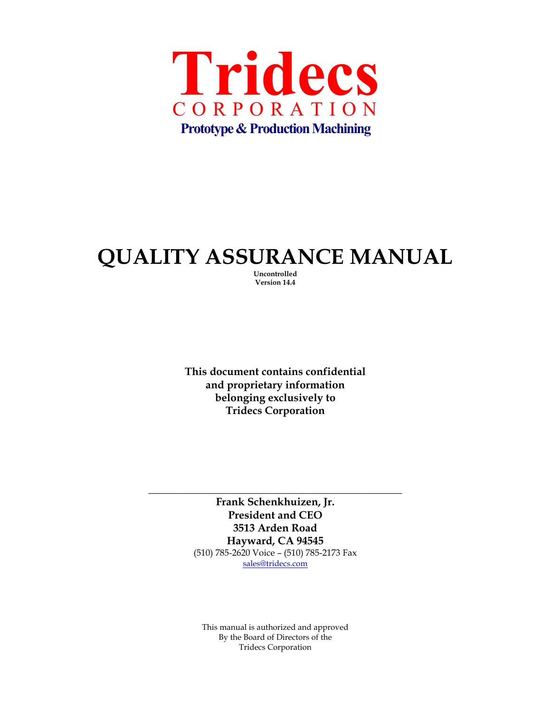

# **QUALITY ASSURANCE MANUAL**

**Uncontrolled Version 14.4** 

**This document contains confidential and proprietary information belonging exclusively to Tridecs Corporation** 

**Frank Schenkhuizen, Jr. President and CEO 3513 Arden Road Hayward, CA 94545**  (510) 785-2620 Voice – (510) 785-2173 Fax sales@tridecs.com

**\_\_\_\_\_\_\_\_\_\_\_\_\_\_\_\_\_\_\_\_\_\_\_\_\_\_\_\_\_\_\_\_\_\_\_\_\_\_\_\_\_\_\_\_\_\_\_** 

This manual is authorized and approved By the Board of Directors of the Tridecs Corporation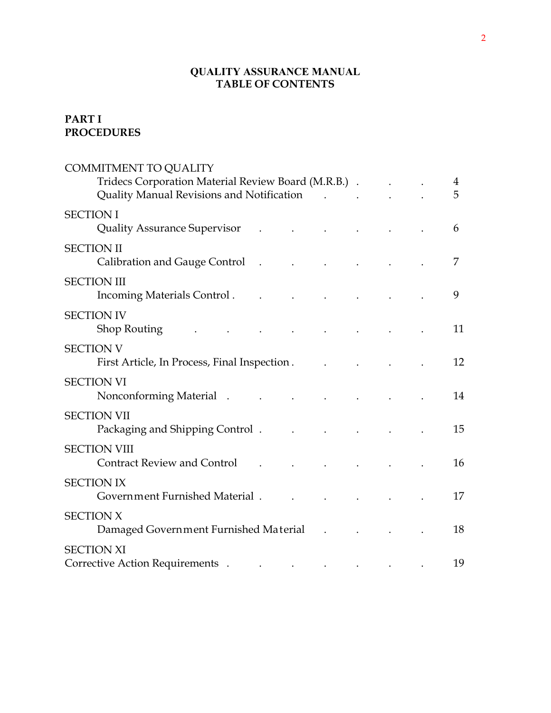### **QUALITY ASSURANCE MANUAL TABLE OF CONTENTS**

# **PART I PROCEDURES**

| <b>COMMITMENT TO QUALITY</b>                                                                                                                                                                                                                        |                                                                                                                                                                                                                                                                                                                                                                                                                                                             |  |  |        |
|-----------------------------------------------------------------------------------------------------------------------------------------------------------------------------------------------------------------------------------------------------|-------------------------------------------------------------------------------------------------------------------------------------------------------------------------------------------------------------------------------------------------------------------------------------------------------------------------------------------------------------------------------------------------------------------------------------------------------------|--|--|--------|
| Tridecs Corporation Material Review Board (M.R.B.).<br>Quality Manual Revisions and Notification                                                                                                                                                    |                                                                                                                                                                                                                                                                                                                                                                                                                                                             |  |  | 4<br>5 |
|                                                                                                                                                                                                                                                     |                                                                                                                                                                                                                                                                                                                                                                                                                                                             |  |  |        |
| <b>SECTION I</b><br><b>Quality Assurance Supervisor</b>                                                                                                                                                                                             | $\mathcal{L}^{\text{max}}$ and $\mathcal{L}^{\text{max}}$ . The set of $\mathcal{L}^{\text{max}}$                                                                                                                                                                                                                                                                                                                                                           |  |  | 6      |
| <b>SECTION II</b><br>Calibration and Gauge Control (Calibration and Gauge Control)                                                                                                                                                                  |                                                                                                                                                                                                                                                                                                                                                                                                                                                             |  |  | 7      |
| <b>SECTION III</b><br>Incoming Materials Control.                                                                                                                                                                                                   |                                                                                                                                                                                                                                                                                                                                                                                                                                                             |  |  | 9      |
| <b>SECTION IV</b><br>Shop Routing                                                                                                                                                                                                                   |                                                                                                                                                                                                                                                                                                                                                                                                                                                             |  |  | 11     |
| <b>SECTION V</b><br>First Article, In Process, Final Inspection.                                                                                                                                                                                    |                                                                                                                                                                                                                                                                                                                                                                                                                                                             |  |  | 12     |
| <b>SECTION VI</b><br>Nonconforming Material (a) and the contract of the contract of the contract of the contract of the contract of the contract of the contract of the contract of the contract of the contract of the contract of the contract of |                                                                                                                                                                                                                                                                                                                                                                                                                                                             |  |  | 14     |
| <b>SECTION VII</b><br>Packaging and Shipping Control.                                                                                                                                                                                               |                                                                                                                                                                                                                                                                                                                                                                                                                                                             |  |  | 15     |
| <b>SECTION VIII</b><br><b>Contract Review and Control</b>                                                                                                                                                                                           |                                                                                                                                                                                                                                                                                                                                                                                                                                                             |  |  | 16     |
| <b>SECTION IX</b><br>Government Furnished Material.                                                                                                                                                                                                 |                                                                                                                                                                                                                                                                                                                                                                                                                                                             |  |  | 17     |
| <b>SECTION X</b><br>Damaged Government Furnished Material .                                                                                                                                                                                         |                                                                                                                                                                                                                                                                                                                                                                                                                                                             |  |  | 18     |
| <b>SECTION XI</b>                                                                                                                                                                                                                                   |                                                                                                                                                                                                                                                                                                                                                                                                                                                             |  |  |        |
| Corrective Action Requirements.                                                                                                                                                                                                                     | $\mathcal{L}(\mathcal{L}(\mathcal{L}(\mathcal{L}(\mathcal{L}(\mathcal{L}(\mathcal{L}(\mathcal{L}(\mathcal{L}(\mathcal{L}(\mathcal{L}(\mathcal{L}(\mathcal{L}(\mathcal{L}(\mathcal{L}(\mathcal{L}(\mathcal{L}(\mathcal{L}(\mathcal{L}(\mathcal{L}(\mathcal{L}(\mathcal{L}(\mathcal{L}(\mathcal{L}(\mathcal{L}(\mathcal{L}(\mathcal{L}(\mathcal{L}(\mathcal{L}(\mathcal{L}(\mathcal{L}(\mathcal{L}(\mathcal{L}(\mathcal{L}(\mathcal{L}(\mathcal{L}(\mathcal{$ |  |  | 19     |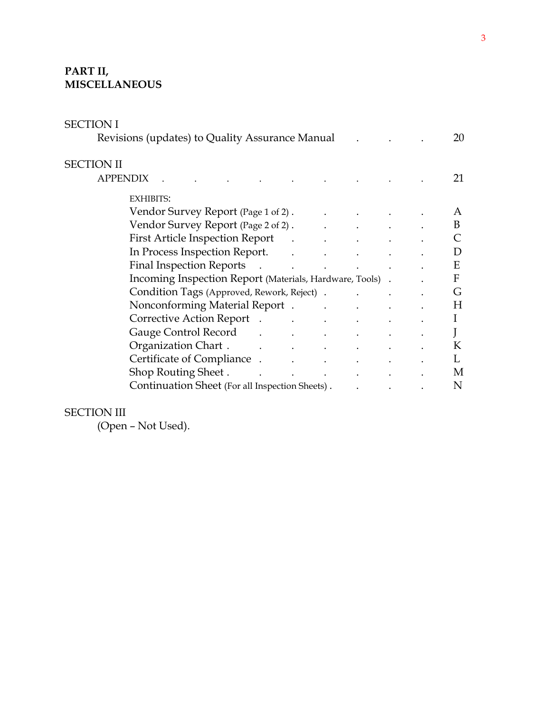### **PART II, MISCELLANEOUS**

| SECTION I                                                                                                                                                                                                                      |                                                         |              |
|--------------------------------------------------------------------------------------------------------------------------------------------------------------------------------------------------------------------------------|---------------------------------------------------------|--------------|
| Revisions (updates) to Quality Assurance Manual                                                                                                                                                                                |                                                         | 20           |
| <b>SECTION II</b>                                                                                                                                                                                                              |                                                         |              |
| <b>APPENDIX</b>                                                                                                                                                                                                                |                                                         | 21           |
| <b>EXHIBITS:</b>                                                                                                                                                                                                               |                                                         |              |
| Vendor Survey Report (Page 1 of 2). The contract of the set of 2) and the set of $\mathcal{L}$                                                                                                                                 |                                                         | A            |
| Vendor Survey Report (Page 2 of 2). The contract of the contract of the contract of the Vendor Survey Report (                                                                                                                 |                                                         | B            |
| First Article Inspection Report (Changle 2014)                                                                                                                                                                                 |                                                         |              |
| In Process Inspection Report.                                                                                                                                                                                                  |                                                         | D            |
|                                                                                                                                                                                                                                |                                                         | E            |
| Incoming Inspection Report (Materials, Hardware, Tools).                                                                                                                                                                       |                                                         | $\mathbf{F}$ |
|                                                                                                                                                                                                                                |                                                         | G            |
| Nonconforming Material Report . The contract of the contract of the contract of the contract of the contract of the contract of the contract of the contract of the contract of the contract of the contract of the contract o |                                                         | H            |
| Corrective Action Report (Corrective Action Report)<br>$\mathbf{L}^{\text{max}}$ and $\mathbf{L}^{\text{max}}$                                                                                                                 |                                                         | $\bf{l}$     |
| Gauge Control Record Fig. 1. Control Record                                                                                                                                                                                    |                                                         |              |
| Organization Chart . The contract of the contract of the contract of the contract of the contract of the contr                                                                                                                 |                                                         | K            |
|                                                                                                                                                                                                                                |                                                         | L            |
| Shop Routing Sheet . The contract of the state of the state of the state of the state of the state of the state of the state of the state of the state of the state of the state of the state of the state of the state of the |                                                         | M            |
| Continuation Sheet (For all Inspection Sheets).                                                                                                                                                                                | $\mathbf{L}^{\text{max}}$ and $\mathbf{L}^{\text{max}}$ | N            |

#### SECTION III

(Open – Not Used).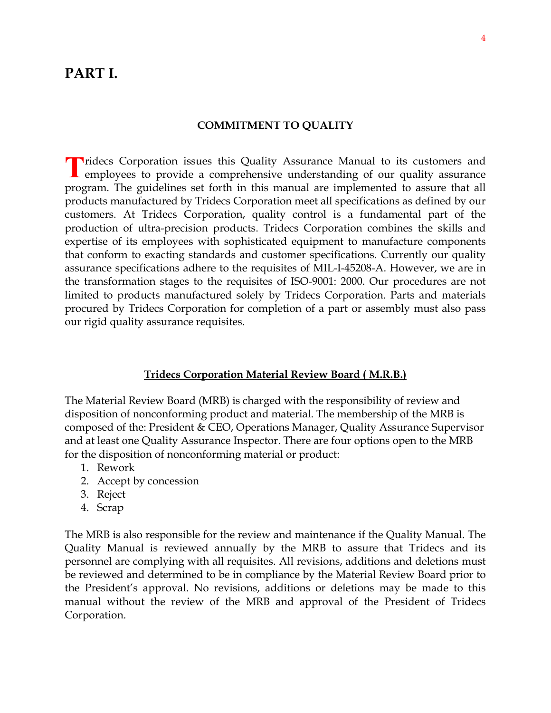# **PART I.**

#### **COMMITMENT TO QUALITY**

**T** ridecs Corporation issues this Quality Assurance Manual to its customers and Tridecs Corporation issues this Quality Assurance Manual to its customers and employees to provide a comprehensive understanding of our quality assurance program. The guidelines set forth in this manual are implemented to assure that all products manufactured by Tridecs Corporation meet all specifications as defined by our customers. At Tridecs Corporation, quality control is a fundamental part of the production of ultra-precision products. Tridecs Corporation combines the skills and expertise of its employees with sophisticated equipment to manufacture components that conform to exacting standards and customer specifications. Currently our quality assurance specifications adhere to the requisites of MIL-I-45208-A. However, we are in the transformation stages to the requisites of ISO-9001: 2000. Our procedures are not limited to products manufactured solely by Tridecs Corporation. Parts and materials procured by Tridecs Corporation for completion of a part or assembly must also pass our rigid quality assurance requisites.

#### **Tridecs Corporation Material Review Board ( M.R.B.)**

The Material Review Board (MRB) is charged with the responsibility of review and disposition of nonconforming product and material. The membership of the MRB is composed of the: President & CEO, Operations Manager, Quality Assurance Supervisor and at least one Quality Assurance Inspector. There are four options open to the MRB for the disposition of nonconforming material or product:

- 1. Rework
- 2. Accept by concession
- 3. Reject
- 4. Scrap

The MRB is also responsible for the review and maintenance if the Quality Manual. The Quality Manual is reviewed annually by the MRB to assure that Tridecs and its personnel are complying with all requisites. All revisions, additions and deletions must be reviewed and determined to be in compliance by the Material Review Board prior to the President's approval. No revisions, additions or deletions may be made to this manual without the review of the MRB and approval of the President of Tridecs Corporation.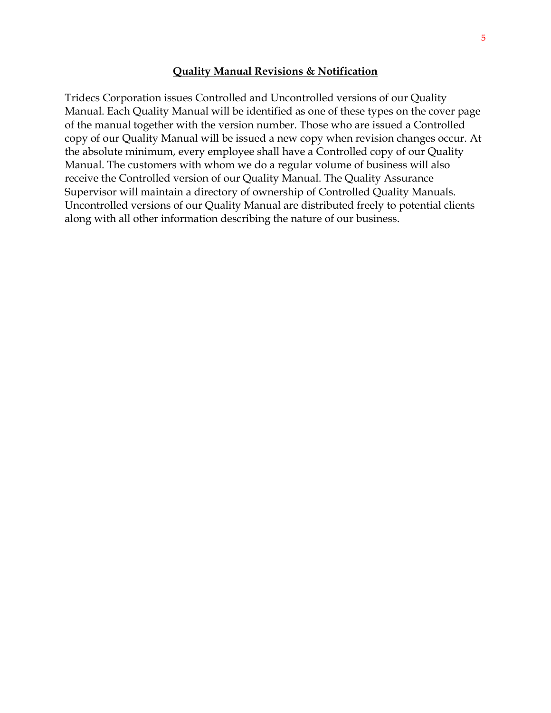#### **Quality Manual Revisions & Notification**

Tridecs Corporation issues Controlled and Uncontrolled versions of our Quality Manual. Each Quality Manual will be identified as one of these types on the cover page of the manual together with the version number. Those who are issued a Controlled copy of our Quality Manual will be issued a new copy when revision changes occur. At the absolute minimum, every employee shall have a Controlled copy of our Quality Manual. The customers with whom we do a regular volume of business will also receive the Controlled version of our Quality Manual. The Quality Assurance Supervisor will maintain a directory of ownership of Controlled Quality Manuals. Uncontrolled versions of our Quality Manual are distributed freely to potential clients along with all other information describing the nature of our business.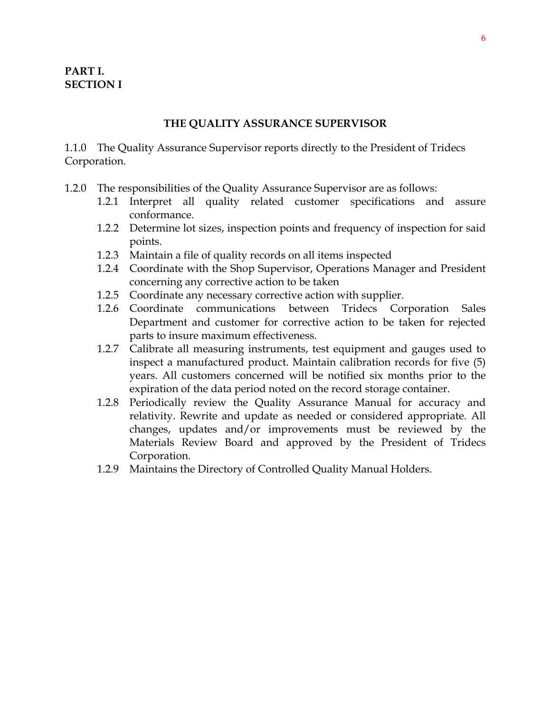#### **THE QUALITY ASSURANCE SUPERVISOR**

1.1.0 The Quality Assurance Supervisor reports directly to the President of Tridecs Corporation.

- 1.2.0 The responsibilities of the Quality Assurance Supervisor are as follows:
	- 1.2.1 Interpret all quality related customer specifications and assure conformance.
	- 1.2.2 Determine lot sizes, inspection points and frequency of inspection for said points.
	- 1.2.3 Maintain a file of quality records on all items inspected
	- 1.2.4 Coordinate with the Shop Supervisor, Operations Manager and President concerning any corrective action to be taken
	- 1.2.5 Coordinate any necessary corrective action with supplier.
	- 1.2.6 Coordinate communications between Tridecs Corporation Sales Department and customer for corrective action to be taken for rejected parts to insure maximum effectiveness.
	- 1.2.7 Calibrate all measuring instruments, test equipment and gauges used to inspect a manufactured product. Maintain calibration records for five (5) years. All customers concerned will be notified six months prior to the expiration of the data period noted on the record storage container.
	- 1.2.8 Periodically review the Quality Assurance Manual for accuracy and relativity. Rewrite and update as needed or considered appropriate. All changes, updates and/or improvements must be reviewed by the Materials Review Board and approved by the President of Tridecs Corporation.
	- 1.2.9 Maintains the Directory of Controlled Quality Manual Holders.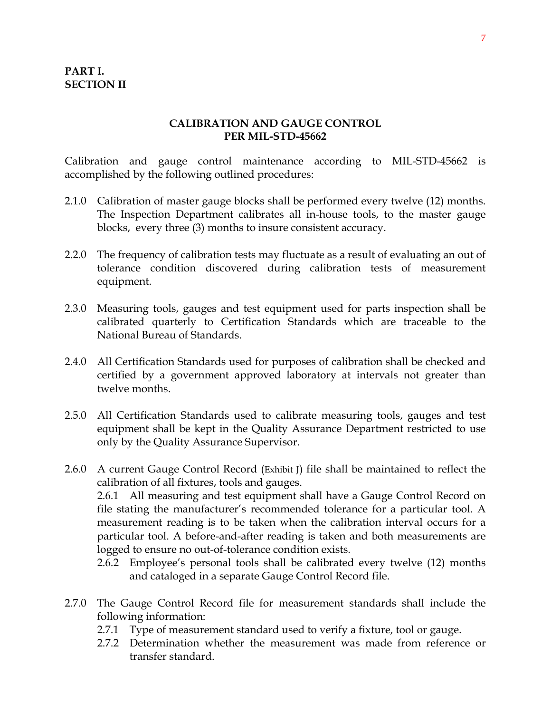#### **PART I. SECTION II**

#### **CALIBRATION AND GAUGE CONTROL PER MIL-STD-45662**

Calibration and gauge control maintenance according to MIL-STD-45662 is accomplished by the following outlined procedures:

- 2.1.0 Calibration of master gauge blocks shall be performed every twelve (12) months. The Inspection Department calibrates all in-house tools, to the master gauge blocks, every three (3) months to insure consistent accuracy.
- 2.2.0 The frequency of calibration tests may fluctuate as a result of evaluating an out of tolerance condition discovered during calibration tests of measurement equipment.
- 2.3.0 Measuring tools, gauges and test equipment used for parts inspection shall be calibrated quarterly to Certification Standards which are traceable to the National Bureau of Standards.
- 2.4.0 All Certification Standards used for purposes of calibration shall be checked and certified by a government approved laboratory at intervals not greater than twelve months.
- 2.5.0 All Certification Standards used to calibrate measuring tools, gauges and test equipment shall be kept in the Quality Assurance Department restricted to use only by the Quality Assurance Supervisor.

2.6.0 A current Gauge Control Record (Exhibit J) file shall be maintained to reflect the calibration of all fixtures, tools and gauges. 2.6.1 All measuring and test equipment shall have a Gauge Control Record on file stating the manufacturer's recommended tolerance for a particular tool. A measurement reading is to be taken when the calibration interval occurs for a particular tool. A before-and-after reading is taken and both measurements are logged to ensure no out-of-tolerance condition exists.

- 2.6.2 Employee's personal tools shall be calibrated every twelve (12) months and cataloged in a separate Gauge Control Record file.
- 2.7.0 The Gauge Control Record file for measurement standards shall include the following information:
	- 2.7.1 Type of measurement standard used to verify a fixture, tool or gauge.
	- 2.7.2 Determination whether the measurement was made from reference or transfer standard.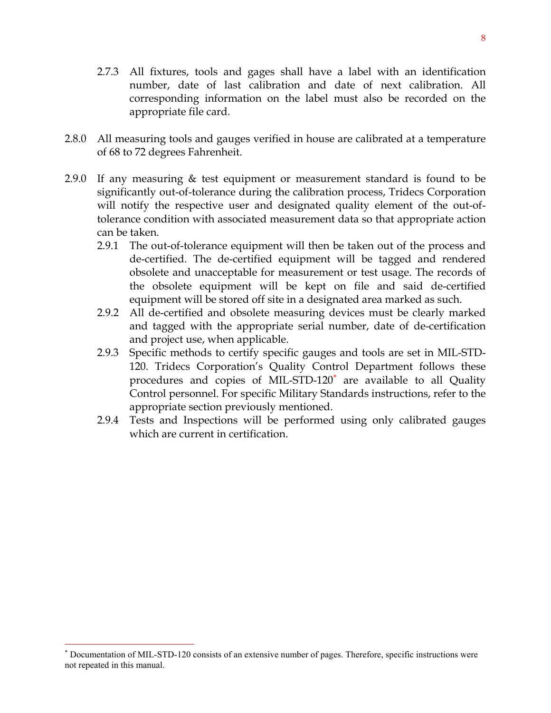- 2.7.3 All fixtures, tools and gages shall have a label with an identification number, date of last calibration and date of next calibration. All corresponding information on the label must also be recorded on the appropriate file card.
- 2.8.0 All measuring tools and gauges verified in house are calibrated at a temperature of 68 to 72 degrees Fahrenheit.
- 2.9.0 If any measuring & test equipment or measurement standard is found to be significantly out-of-tolerance during the calibration process, Tridecs Corporation will notify the respective user and designated quality element of the out-oftolerance condition with associated measurement data so that appropriate action can be taken.
	- 2.9.1 The out-of-tolerance equipment will then be taken out of the process and de-certified. The de-certified equipment will be tagged and rendered obsolete and unacceptable for measurement or test usage. The records of the obsolete equipment will be kept on file and said de-certified equipment will be stored off site in a designated area marked as such.
	- 2.9.2 All de-certified and obsolete measuring devices must be clearly marked and tagged with the appropriate serial number, date of de-certification and project use, when applicable.
	- 2.9.3 Specific methods to certify specific gauges and tools are set in MIL-STD-120. Tridecs Corporation's Quality Control Department follows these procedures and copies of MIL-STD-120<sup>\*</sup> are available to all Quality Control personnel. For specific Military Standards instructions, refer to the appropriate section previously mentioned.
	- 2.9.4 Tests and Inspections will be performed using only calibrated gauges which are current in certification.

 $\overline{a}$ 

<sup>∗</sup> Documentation of MIL-STD-120 consists of an extensive number of pages. Therefore, specific instructions were not repeated in this manual.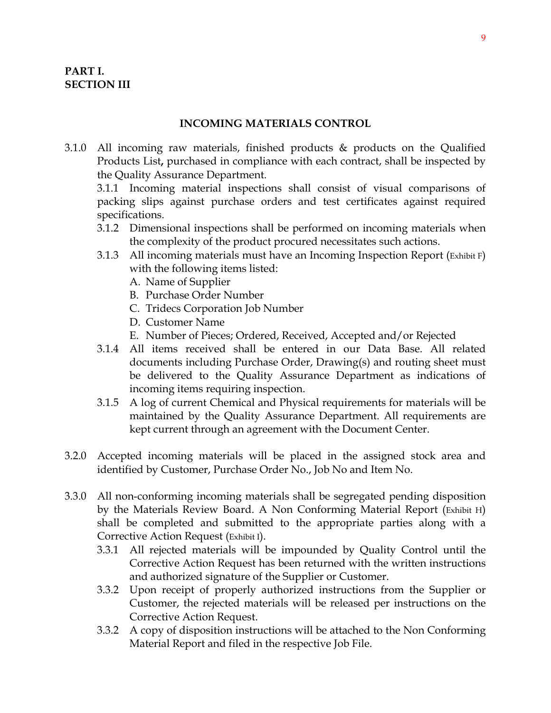#### **INCOMING MATERIALS CONTROL**

3.1.0 All incoming raw materials, finished products & products on the Qualified Products List**,** purchased in compliance with each contract, shall be inspected by the Quality Assurance Department.

3.1.1 Incoming material inspections shall consist of visual comparisons of packing slips against purchase orders and test certificates against required specifications.

- 3.1.2 Dimensional inspections shall be performed on incoming materials when the complexity of the product procured necessitates such actions.
- 3.1.3 All incoming materials must have an Incoming Inspection Report (Exhibit F) with the following items listed:
	- A. Name of Supplier
	- B. Purchase Order Number
	- C. Tridecs Corporation Job Number
	- D. Customer Name
	- E. Number of Pieces; Ordered, Received, Accepted and/or Rejected
- 3.1.4 All items received shall be entered in our Data Base. All related documents including Purchase Order, Drawing(s) and routing sheet must be delivered to the Quality Assurance Department as indications of incoming items requiring inspection.
- 3.1.5 A log of current Chemical and Physical requirements for materials will be maintained by the Quality Assurance Department. All requirements are kept current through an agreement with the Document Center.
- 3.2.0 Accepted incoming materials will be placed in the assigned stock area and identified by Customer, Purchase Order No., Job No and Item No.
- 3.3.0 All non-conforming incoming materials shall be segregated pending disposition by the Materials Review Board. A Non Conforming Material Report (Exhibit H) shall be completed and submitted to the appropriate parties along with a Corrective Action Request (Exhibit I).
	- 3.3.1 All rejected materials will be impounded by Quality Control until the Corrective Action Request has been returned with the written instructions and authorized signature of the Supplier or Customer.
	- 3.3.2 Upon receipt of properly authorized instructions from the Supplier or Customer, the rejected materials will be released per instructions on the Corrective Action Request.
	- 3.3.2 A copy of disposition instructions will be attached to the Non Conforming Material Report and filed in the respective Job File.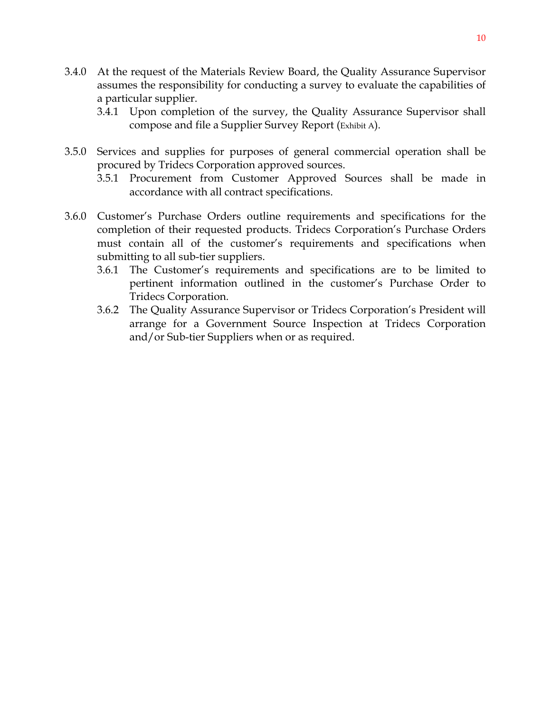- 3.4.0 At the request of the Materials Review Board, the Quality Assurance Supervisor assumes the responsibility for conducting a survey to evaluate the capabilities of a particular supplier.
	- 3.4.1 Upon completion of the survey, the Quality Assurance Supervisor shall compose and file a Supplier Survey Report (Exhibit A).
- 3.5.0 Services and supplies for purposes of general commercial operation shall be procured by Tridecs Corporation approved sources.
	- 3.5.1 Procurement from Customer Approved Sources shall be made in accordance with all contract specifications.
- 3.6.0 Customer's Purchase Orders outline requirements and specifications for the completion of their requested products. Tridecs Corporation's Purchase Orders must contain all of the customer's requirements and specifications when submitting to all sub-tier suppliers.
	- 3.6.1 The Customer's requirements and specifications are to be limited to pertinent information outlined in the customer's Purchase Order to Tridecs Corporation.
	- 3.6.2 The Quality Assurance Supervisor or Tridecs Corporation's President will arrange for a Government Source Inspection at Tridecs Corporation and/or Sub-tier Suppliers when or as required.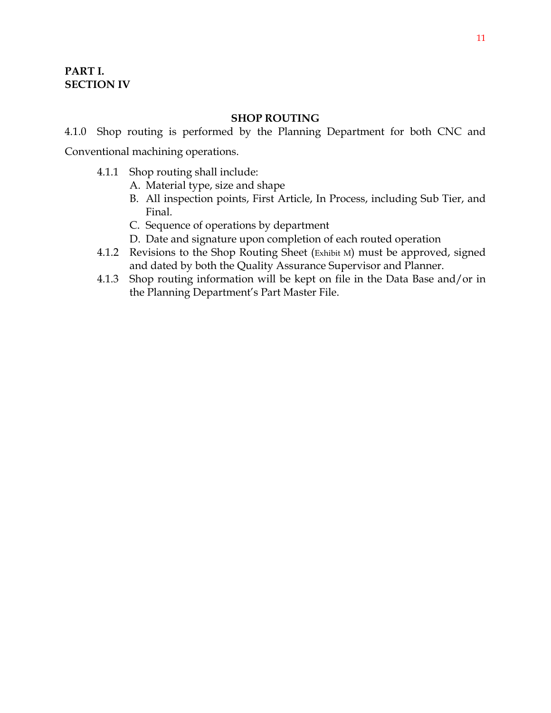#### **SHOP ROUTING**

4.1.0 Shop routing is performed by the Planning Department for both CNC and Conventional machining operations.

- 4.1.1 Shop routing shall include:
	- A. Material type, size and shape
	- B. All inspection points, First Article, In Process, including Sub Tier, and Final.
	- C. Sequence of operations by department
	- D. Date and signature upon completion of each routed operation
- 4.1.2 Revisions to the Shop Routing Sheet (Exhibit M) must be approved, signed and dated by both the Quality Assurance Supervisor and Planner.
- 4.1.3 Shop routing information will be kept on file in the Data Base and/or in the Planning Department's Part Master File.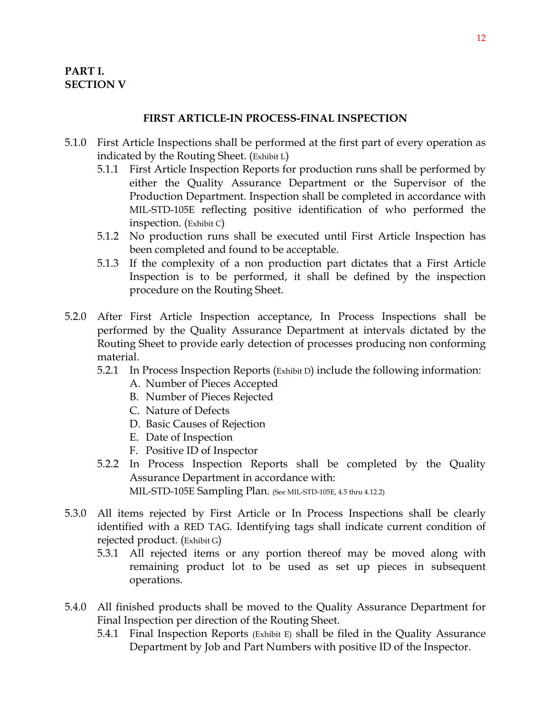#### **FIRST ARTICLE-IN PROCESS-FINAL INSPECTION**

- 5.1.0 First Article Inspections shall be performed at the first part of every operation as indicated by the Routing Sheet. (Exhibit L)
	- 5.1.1 First Article Inspection Reports for production runs shall be performed by either the Quality Assurance Department or the Supervisor of the Production Department. Inspection shall be completed in accordance with MIL-STD-105E reflecting positive identification of who performed the inspection. (Exhibit C)
	- 5.1.2 No production runs shall be executed until First Article Inspection has been completed and found to be acceptable.
	- 5.1.3 If the complexity of a non production part dictates that a First Article Inspection is to be performed, it shall be defined by the inspection procedure on the Routing Sheet.
- 5.2.0 After First Article Inspection acceptance, In Process Inspections shall be performed by the Quality Assurance Department at intervals dictated by the Routing Sheet to provide early detection of processes producing non conforming material.
	- 5.2.1 In Process Inspection Reports (Exhibit D) include the following information:
		- A. Number of Pieces Accepted
		- B. Number of Pieces Rejected
		- C. Nature of Defects
		- D. Basic Causes of Rejection
		- E. Date of Inspection
		- F. Positive ID of Inspector
	- 5.2.2 In Process Inspection Reports shall be completed by the Quality Assurance Department in accordance with: MIL-STD-105E Sampling Plan. (See MIL-STD-105E, 4.5 thru 4.12.2)
- 5.3.0 All items rejected by First Article or In Process Inspections shall be clearly identified with a RED TAG. Identifying tags shall indicate current condition of rejected product. (Exhibit G)
	- 5.3.1 All rejected items or any portion thereof may be moved along with remaining product lot to be used as set up pieces in subsequent operations.
- 5.4.0 All finished products shall be moved to the Quality Assurance Department for Final Inspection per direction of the Routing Sheet.
	- 5.4.1 Final Inspection Reports (Exhibit E) shall be filed in the Quality Assurance Department by Job and Part Numbers with positive ID of the Inspector.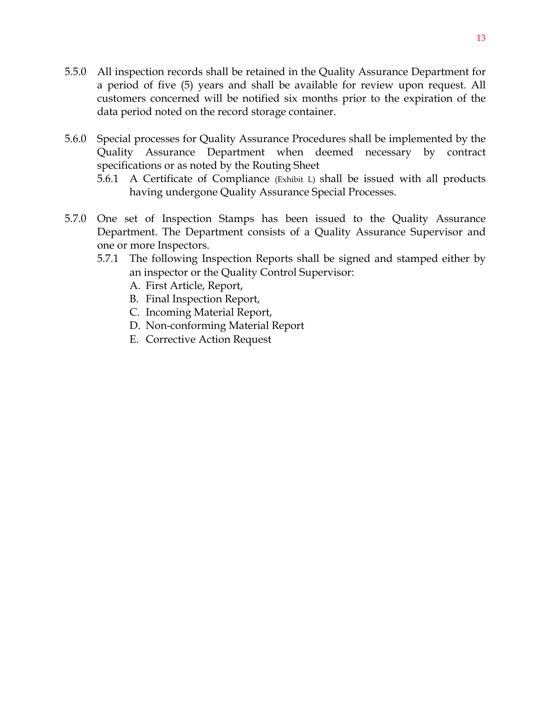- 5.5.0 All inspection records shall be retained in the Quality Assurance Department for a period of five (5) years and shall be available for review upon request. All customers concerned will be notified six months prior to the expiration of the data period noted on the record storage container.
- 5.6.0 Special processes for Quality Assurance Procedures shall be implemented by the Quality Assurance Department when deemed necessary by contract specifications or as noted by the Routing Sheet
	- 5.6.1 A Certificate of Compliance (Exhibit L) shall be issued with all products having undergone Quality Assurance Special Processes.
- 5.7.0 One set of Inspection Stamps has been issued to the Quality Assurance Department. The Department consists of a Quality Assurance Supervisor and one or more Inspectors.
	- 5.7.1 The following Inspection Reports shall be signed and stamped either by an inspector or the Quality Control Supervisor:
		- A. First Article, Report,
		- B. Final Inspection Report,
		- C. Incoming Material Report,
		- D. Non-conforming Material Report
		- E. Corrective Action Request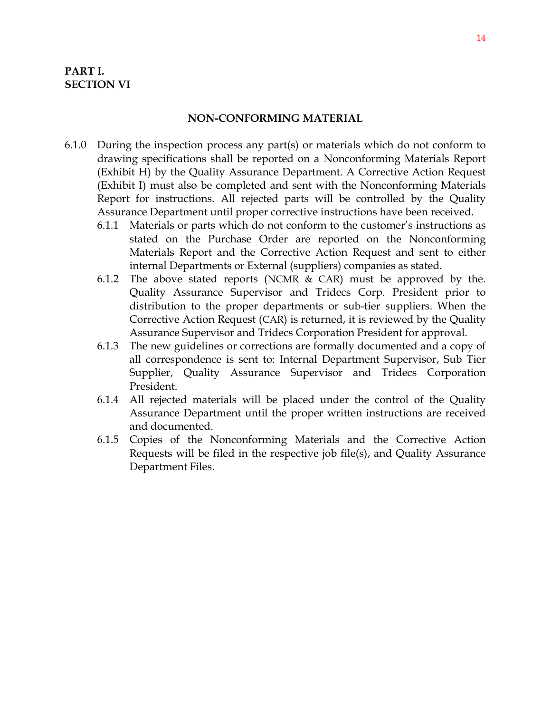#### **PART I. SECTION VI**

#### **NON-CONFORMING MATERIAL**

- 6.1.0 During the inspection process any part(s) or materials which do not conform to drawing specifications shall be reported on a Nonconforming Materials Report (Exhibit H) by the Quality Assurance Department. A Corrective Action Request (Exhibit I) must also be completed and sent with the Nonconforming Materials Report for instructions. All rejected parts will be controlled by the Quality Assurance Department until proper corrective instructions have been received.
	- 6.1.1 Materials or parts which do not conform to the customer's instructions as stated on the Purchase Order are reported on the Nonconforming Materials Report and the Corrective Action Request and sent to either internal Departments or External (suppliers) companies as stated.
	- 6.1.2 The above stated reports (NCMR & CAR) must be approved by the. Quality Assurance Supervisor and Tridecs Corp. President prior to distribution to the proper departments or sub-tier suppliers. When the Corrective Action Request (CAR) is returned, it is reviewed by the Quality Assurance Supervisor and Tridecs Corporation President for approval.
	- 6.1.3 The new guidelines or corrections are formally documented and a copy of all correspondence is sent to: Internal Department Supervisor, Sub Tier Supplier, Quality Assurance Supervisor and Tridecs Corporation President.
	- 6.1.4 All rejected materials will be placed under the control of the Quality Assurance Department until the proper written instructions are received and documented.
	- 6.1.5 Copies of the Nonconforming Materials and the Corrective Action Requests will be filed in the respective job file(s), and Quality Assurance Department Files.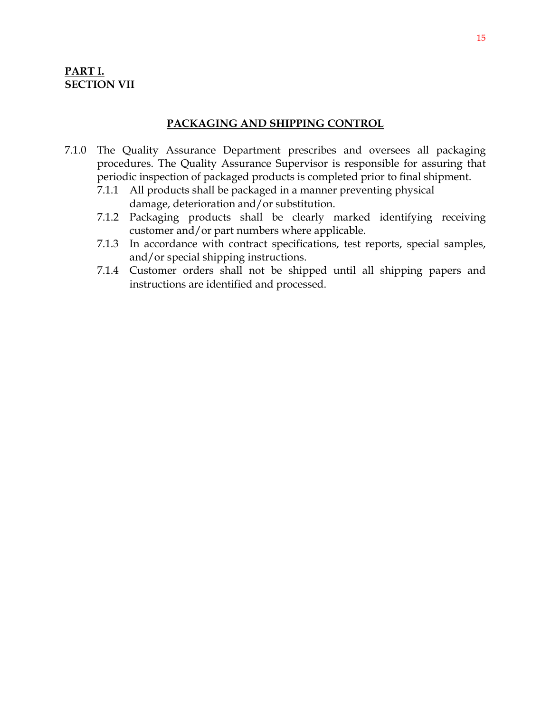#### **PART I. SECTION VII**

#### **PACKAGING AND SHIPPING CONTROL**

- 7.1.0 The Quality Assurance Department prescribes and oversees all packaging procedures. The Quality Assurance Supervisor is responsible for assuring that periodic inspection of packaged products is completed prior to final shipment.
	- 7.1.1 All products shall be packaged in a manner preventing physical damage, deterioration and/or substitution.
	- 7.1.2 Packaging products shall be clearly marked identifying receiving customer and/or part numbers where applicable.
	- 7.1.3 In accordance with contract specifications, test reports, special samples, and/or special shipping instructions.
	- 7.1.4 Customer orders shall not be shipped until all shipping papers and instructions are identified and processed.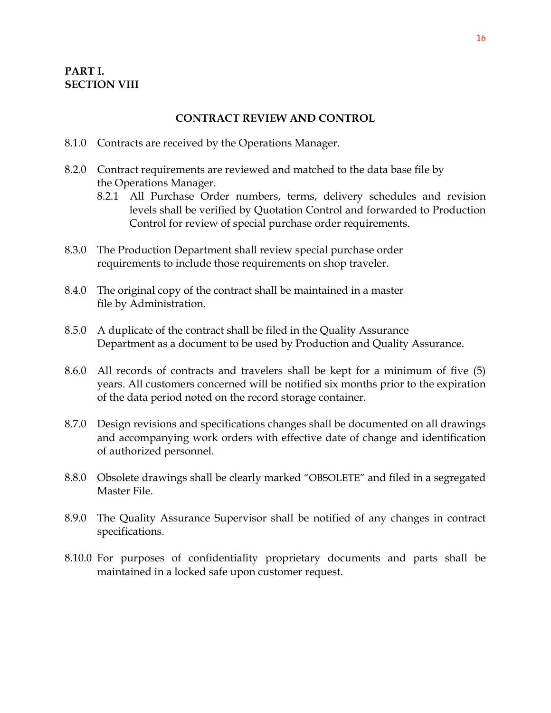#### **PART I. SECTION VIII**

#### **CONTRACT REVIEW AND CONTROL**

- 8.1.0 Contracts are received by the Operations Manager.
- 8.2.0 Contract requirements are reviewed and matched to the data base file by the Operations Manager.
	- 8.2.1 All Purchase Order numbers, terms, delivery schedules and revision levels shall be verified by Quotation Control and forwarded to Production Control for review of special purchase order requirements.
- 8.3.0 The Production Department shall review special purchase order requirements to include those requirements on shop traveler.
- 8.4.0 The original copy of the contract shall be maintained in a master file by Administration.
- 8.5.0 A duplicate of the contract shall be filed in the Quality Assurance Department as a document to be used by Production and Quality Assurance.
- 8.6.0 All records of contracts and travelers shall be kept for a minimum of five (5) years. All customers concerned will be notified six months prior to the expiration of the data period noted on the record storage container.
- 8.7.0 Design revisions and specifications changes shall be documented on all drawings and accompanying work orders with effective date of change and identification of authorized personnel.
- 8.8.0 Obsolete drawings shall be clearly marked "OBSOLETE" and filed in a segregated Master File.
- 8.9.0 The Quality Assurance Supervisor shall be notified of any changes in contract specifications.
- 8.10.0 For purposes of confidentiality proprietary documents and parts shall be maintained in a locked safe upon customer request.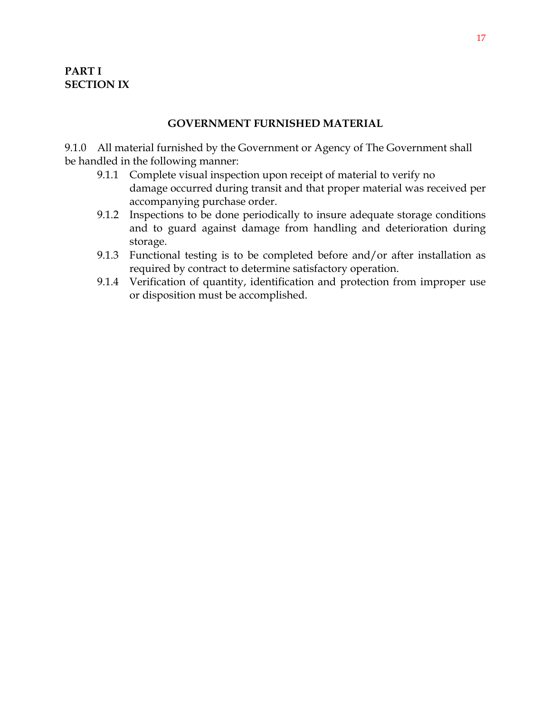#### **GOVERNMENT FURNISHED MATERIAL**

9.1.0 All material furnished by the Government or Agency of The Government shall be handled in the following manner:

- 9.1.1 Complete visual inspection upon receipt of material to verify no damage occurred during transit and that proper material was received per accompanying purchase order.
- 9.1.2 Inspections to be done periodically to insure adequate storage conditions and to guard against damage from handling and deterioration during storage.
- 9.1.3 Functional testing is to be completed before and/or after installation as required by contract to determine satisfactory operation.
- 9.1.4 Verification of quantity, identification and protection from improper use or disposition must be accomplished.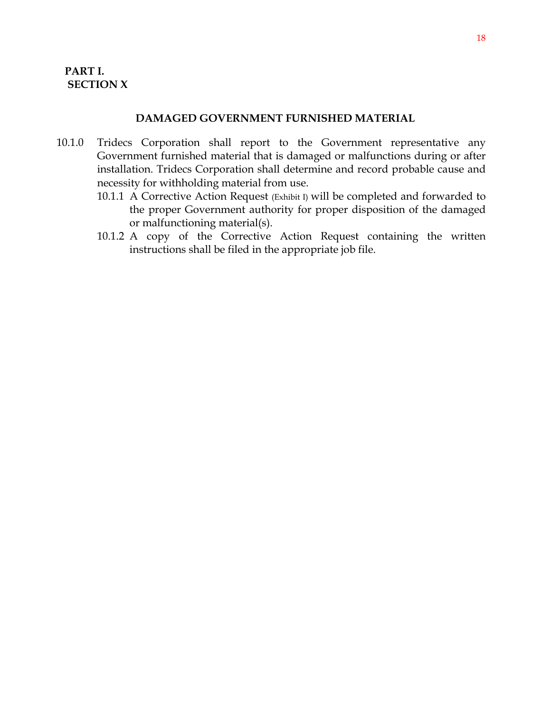#### **DAMAGED GOVERNMENT FURNISHED MATERIAL**

- 10.1.0 Tridecs Corporation shall report to the Government representative any Government furnished material that is damaged or malfunctions during or after installation. Tridecs Corporation shall determine and record probable cause and necessity for withholding material from use.
	- 10.1.1 A Corrective Action Request (Exhibit I) will be completed and forwarded to the proper Government authority for proper disposition of the damaged or malfunctioning material(s).
	- 10.1.2 A copy of the Corrective Action Request containing the written instructions shall be filed in the appropriate job file.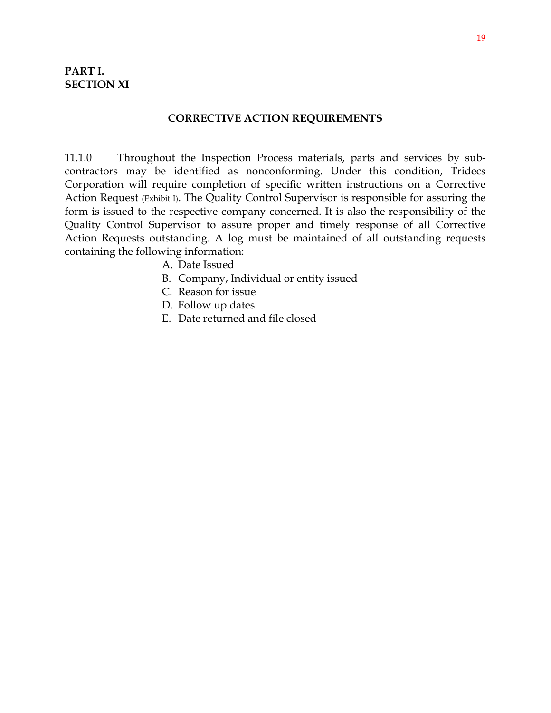#### **CORRECTIVE ACTION REQUIREMENTS**

11.1.0 Throughout the Inspection Process materials, parts and services by subcontractors may be identified as nonconforming. Under this condition, Tridecs Corporation will require completion of specific written instructions on a Corrective Action Request (Exhibit I). The Quality Control Supervisor is responsible for assuring the form is issued to the respective company concerned. It is also the responsibility of the Quality Control Supervisor to assure proper and timely response of all Corrective Action Requests outstanding. A log must be maintained of all outstanding requests containing the following information:

- A. Date Issued
- B. Company, Individual or entity issued
- C. Reason for issue
- D. Follow up dates
- E. Date returned and file closed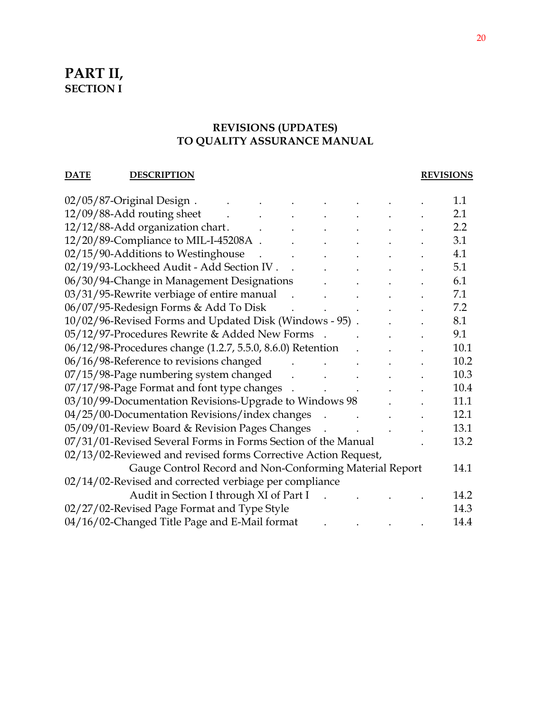# **PART II, SECTION I**

#### **REVISIONS (UPDATES) TO QUALITY ASSURANCE MANUAL**

#### **DATE** DESCRIPTION REVISIONS

| $02/05/87$ -Original Design.                                   |  | 1.1  |
|----------------------------------------------------------------|--|------|
| 12/09/88-Add routing sheet                                     |  | 2.1  |
| 12/12/88-Add organization chart.                               |  | 2.2  |
| 12/20/89-Compliance to MIL-I-45208A.                           |  | 3.1  |
| 02/15/90-Additions to Westinghouse                             |  | 4.1  |
| 02/19/93-Lockheed Audit - Add Section IV.                      |  | 5.1  |
| 06/30/94-Change in Management Designations                     |  | 6.1  |
| 03/31/95-Rewrite verbiage of entire manual                     |  | 7.1  |
| 06/07/95-Redesign Forms & Add To Disk                          |  | 7.2  |
| 10/02/96-Revised Forms and Updated Disk (Windows - 95).        |  | 8.1  |
| 05/12/97-Procedures Rewrite & Added New Forms                  |  | 9.1  |
| 06/12/98-Procedures change (1.2.7, 5.5.0, 8.6.0) Retention     |  | 10.1 |
| 06/16/98-Reference to revisions changed                        |  | 10.2 |
| 07/15/98-Page numbering system changed                         |  | 10.3 |
| 07/17/98-Page Format and font type changes                     |  | 10.4 |
| 03/10/99-Documentation Revisions-Upgrade to Windows 98         |  | 11.1 |
| 04/25/00-Documentation Revisions/index changes                 |  | 12.1 |
| 05/09/01-Review Board & Revision Pages Changes                 |  | 13.1 |
| 07/31/01-Revised Several Forms in Forms Section of the Manual  |  | 13.2 |
| 02/13/02-Reviewed and revised forms Corrective Action Request, |  |      |
| Gauge Control Record and Non-Conforming Material Report        |  | 14.1 |
| 02/14/02-Revised and corrected verbiage per compliance         |  |      |
| Audit in Section I through XI of Part I                        |  | 14.2 |
| 02/27/02-Revised Page Format and Type Style                    |  | 14.3 |
| 04/16/02-Changed Title Page and E-Mail format                  |  | 14.4 |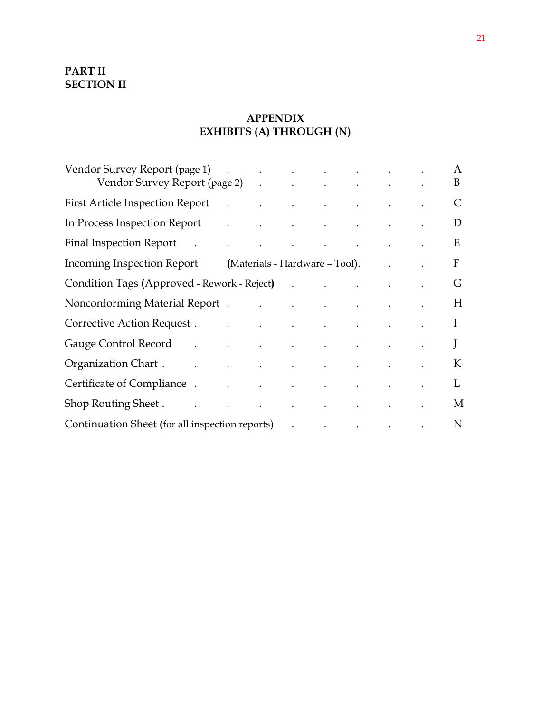# **PART II SECTION II**

# **APPENDIX EXHIBITS (A) THROUGH (N)**

| Vendor Survey Report (page 1) (Contract of the contract of the contract of the contract of the contract of the contract of the contract of the contract of the contract of the contract of the contract of the contract of the |                                                                                                               |  |  |              |
|--------------------------------------------------------------------------------------------------------------------------------------------------------------------------------------------------------------------------------|---------------------------------------------------------------------------------------------------------------|--|--|--------------|
| Vendor Survey Report (page 2) (Case Contract Contract Contract Contract Contract Contract Contract Contract Co                                                                                                                 |                                                                                                               |  |  |              |
| <b>First Article Inspection Report</b>                                                                                                                                                                                         | $\mathcal{L} = \{x_1, \ldots, x_n\}$ and $\mathcal{L} = \{x_1, \ldots, x_n\}$ and $\mathcal{L} = \mathcal{L}$ |  |  |              |
| In Process Inspection Report and the contract of the contract of the contract of the contract of the contract of the contract of the contract of the contract of the contract of the contract of the contract of the contract  |                                                                                                               |  |  | D            |
| Final Inspection Report and the contract of the contract of the contract of the contract of the contract of the contract of the contract of the contract of the contract of the contract of the contract of the contract of th |                                                                                                               |  |  | E            |
| Incoming Inspection Report (Materials - Hardware - Tool). The common contract of the common contract of the co                                                                                                                 |                                                                                                               |  |  | $\mathbf{F}$ |
| Condition Tags (Approved - Rework - Reject) (Condition Tags (Approved - Rework - Reject)                                                                                                                                       |                                                                                                               |  |  | G            |
| Nonconforming Material Report H                                                                                                                                                                                                |                                                                                                               |  |  |              |
| Corrective Action Request I                                                                                                                                                                                                    |                                                                                                               |  |  |              |
| Gauge Control Record (Capture Cauge Control Record Control Cauge Control Record                                                                                                                                                |                                                                                                               |  |  | $J_{-}$      |
|                                                                                                                                                                                                                                |                                                                                                               |  |  | K            |
| Certificate of Compliance . The contract of compliance in the contract of the contract of the contract of the contract of the contract of the contract of the contract of the contract of the contract of the contract of the  |                                                                                                               |  |  | $\mathbf{L}$ |
| Shop Routing Sheet . The contract of the contract of the state of the contract of the contract of the contract of the contract of the contract of the contract of the contract of the contract of the contract of the contract |                                                                                                               |  |  | M            |
| Continuation Sheet (for all inspection reports) (Continuation Sheet (for all inspection reports)                                                                                                                               |                                                                                                               |  |  |              |
|                                                                                                                                                                                                                                |                                                                                                               |  |  |              |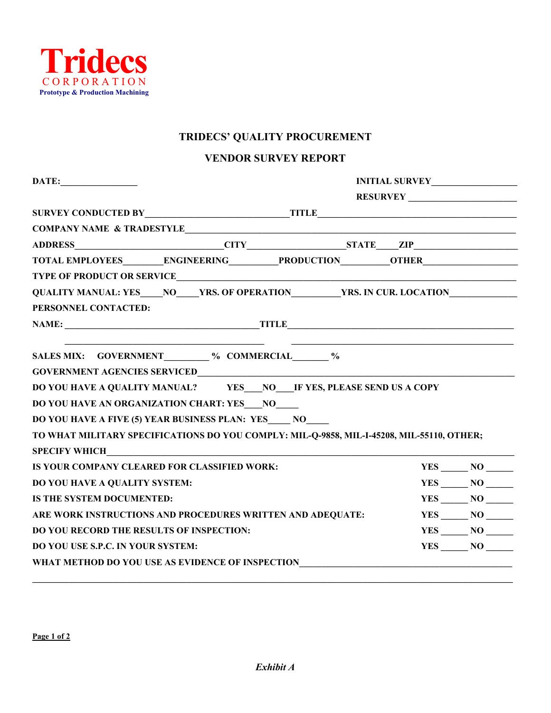

## **TRIDECS' QUALITY PROCUREMENT**

#### **VENDOR SURVEY REPORT**

|                                                     |  | SURVEY CONDUCTED BY TITLE TITLE                                                           |  |                   |  |
|-----------------------------------------------------|--|-------------------------------------------------------------------------------------------|--|-------------------|--|
|                                                     |  | COMPANY NAME & TRADESTYLE                                                                 |  |                   |  |
|                                                     |  |                                                                                           |  |                   |  |
|                                                     |  | TOTAL EMPLOYEES_________ENGINEERING__________PRODUCTION__________OTHER___________         |  |                   |  |
|                                                     |  |                                                                                           |  |                   |  |
|                                                     |  | QUALITY MANUAL: YES____NO____YRS. OF OPERATION_________YRS. IN CUR. LOCATION____________  |  |                   |  |
| PERSONNEL CONTACTED:                                |  |                                                                                           |  |                   |  |
|                                                     |  |                                                                                           |  |                   |  |
|                                                     |  |                                                                                           |  |                   |  |
| SALES MIX: GOVERNMENT _______ % COMMERCIAL _____ %  |  |                                                                                           |  |                   |  |
|                                                     |  |                                                                                           |  |                   |  |
|                                                     |  | DO YOU HAVE A QUALITY MANUAL? YES___NO____IF YES, PLEASE SEND US A COPY                   |  |                   |  |
| DO YOU HAVE AN ORGANIZATION CHART: YES ___ NO       |  |                                                                                           |  |                   |  |
| DO YOU HAVE A FIVE (5) YEAR BUSINESS PLAN: YES NO   |  |                                                                                           |  |                   |  |
|                                                     |  | TO WHAT MILITARY SPECIFICATIONS DO YOU COMPLY: MIL-Q-9858, MIL-I-45208, MIL-55110, OTHER; |  |                   |  |
|                                                     |  |                                                                                           |  |                   |  |
| <b>IS YOUR COMPANY CLEARED FOR CLASSIFIED WORK:</b> |  |                                                                                           |  | $YES$ NO $\qquad$ |  |
| DO YOU HAVE A QUALITY SYSTEM:                       |  |                                                                                           |  | YES NO            |  |
| IS THE SYSTEM DOCUMENTED:                           |  |                                                                                           |  | $YES$ NO $\qquad$ |  |
|                                                     |  | ARE WORK INSTRUCTIONS AND PROCEDURES WRITTEN AND ADEQUATE:                                |  | $YES$ $NO$ $\_$   |  |
| <b>DO YOU RECORD THE RESULTS OF INSPECTION:</b>     |  |                                                                                           |  | $YES$ NO $\qquad$ |  |
| <b>DO YOU USE S.P.C. IN YOUR SYSTEM:</b>            |  |                                                                                           |  | YES NO            |  |
| WHAT METHOD DO YOU USE AS EVIDENCE OF INSPECTION    |  |                                                                                           |  |                   |  |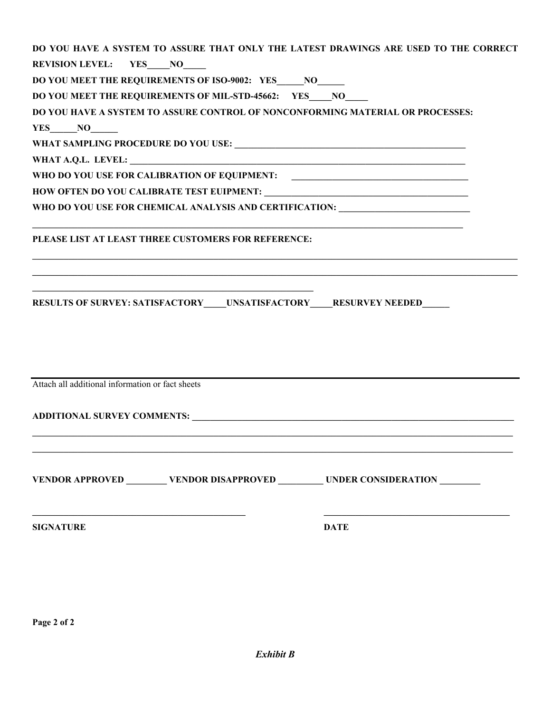| DO YOU HAVE A SYSTEM TO ASSURE THAT ONLY THE LATEST DRAWINGS ARE USED TO THE CORRECT                           |
|----------------------------------------------------------------------------------------------------------------|
| <b>REVISION LEVEL:</b> YES NO                                                                                  |
| DO YOU MEET THE REQUIREMENTS OF ISO-9002: YES NO                                                               |
| DO YOU MEET THE REQUIREMENTS OF MIL-STD-45662: YES NO                                                          |
| DO YOU HAVE A SYSTEM TO ASSURE CONTROL OF NONCONFORMING MATERIAL OR PROCESSES:                                 |
| $YES$ NO                                                                                                       |
|                                                                                                                |
|                                                                                                                |
| WHO DO YOU USE FOR CALIBRATION OF EQUIPMENT:                                                                   |
|                                                                                                                |
| WHO DO YOU USE FOR CHEMICAL ANALYSIS AND CERTIFICATION: ________________________                               |
|                                                                                                                |
| PLEASE LIST AT LEAST THREE CUSTOMERS FOR REFERENCE:                                                            |
|                                                                                                                |
|                                                                                                                |
|                                                                                                                |
| RESULTS OF SURVEY: SATISFACTORY ____ UNSATISFACTORY _____ RESURVEY NEEDED ______                               |
|                                                                                                                |
|                                                                                                                |
|                                                                                                                |
|                                                                                                                |
| Attach all additional information or fact sheets                                                               |
|                                                                                                                |
| ADDITIONAL SURVEY COMMENTS: Universe and the set of the set of the set of the set of the set of the set of the |
|                                                                                                                |
|                                                                                                                |
|                                                                                                                |
| VENDOR APPROVED _________ VENDOR DISAPPROVED _________ UNDER CONSIDERATION _______                             |
|                                                                                                                |
|                                                                                                                |
| <b>SIGNATURE</b><br><b>DATE</b>                                                                                |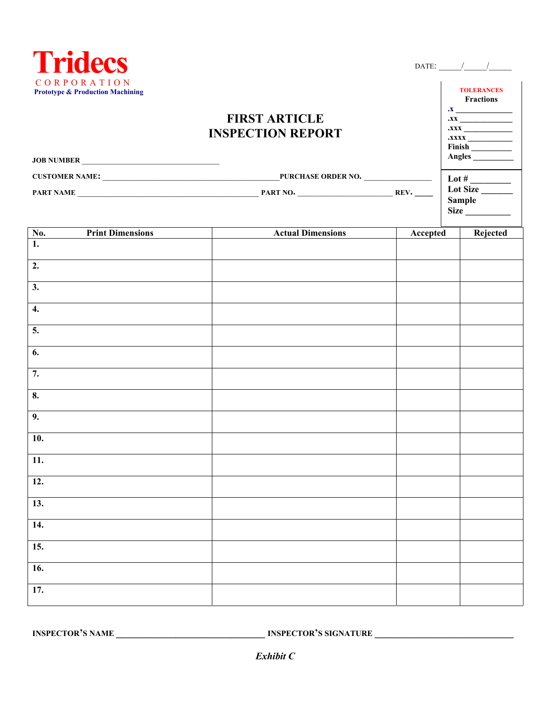

*Exhibit C*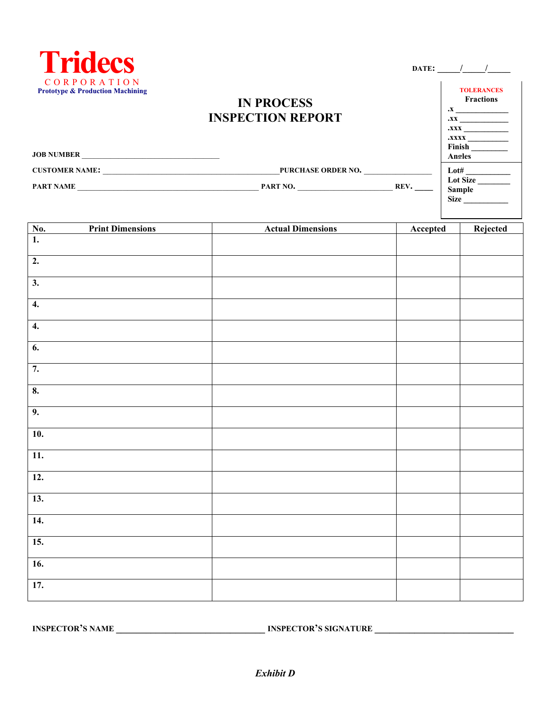

#### **DATE: \_\_\_\_\_/\_\_\_\_\_/\_\_\_\_\_**

# **IN PROCESS INSPECTION REPORT**

| <b>TOLERANCES</b><br><b>Fractions</b> |
|---------------------------------------|
| <b>X</b> .                            |
| .xx                                   |
| .xxx                                  |
| <b>XXXX.</b>                          |
| Finish                                |
| Anoles                                |
| Lot#                                  |
| <b>Lot Size</b>                       |
| <b>Sample</b>                         |
| <b>Size</b>                           |

**JOB NUMBER \_\_\_\_\_\_\_\_\_\_\_\_\_\_\_\_\_\_\_\_\_\_\_\_\_\_\_\_\_\_\_\_\_\_\_ CUSTOMER NAME:** \_\_\_\_\_\_\_\_\_\_\_\_\_\_\_\_\_\_\_\_\_\_\_\_\_\_\_\_\_\_\_\_\_\_\_\_\_\_\_**PURCHASE ORDER NO.** \_\_\_\_\_\_\_\_\_\_\_\_\_\_\_ **PART NAME** \_\_\_\_\_\_\_\_\_\_\_\_\_\_\_\_\_\_\_\_\_\_\_\_\_\_\_\_\_\_\_\_\_\_\_\_\_\_\_\_ **PART NO.** \_\_\_\_\_\_\_\_\_\_\_\_\_\_\_\_\_\_\_\_\_ **REV. \_\_\_\_**

| $\frac{\text{No.}}{1.}$   | <b>Print Dimensions</b> | <b>Actual Dimensions</b> | Accepted | Rejected |
|---------------------------|-------------------------|--------------------------|----------|----------|
|                           |                         |                          |          |          |
| $\overline{2}$ .          |                         |                          |          |          |
| $\overline{3}$ .          |                         |                          |          |          |
| $\overline{4}$ .          |                         |                          |          |          |
| $\overline{4}$ .          |                         |                          |          |          |
| $\overline{6}$ .          |                         |                          |          |          |
| 7.                        |                         |                          |          |          |
| $\overline{\mathbf{8}}$ . |                         |                          |          |          |
| 9.                        |                         |                          |          |          |
| 10.                       |                         |                          |          |          |
| $\overline{11}$ .         |                         |                          |          |          |
| 12.                       |                         |                          |          |          |
| 13.                       |                         |                          |          |          |
| 14.                       |                         |                          |          |          |
| 15.                       |                         |                          |          |          |
| 16.                       |                         |                          |          |          |
| 17.                       |                         |                          |          |          |
|                           |                         |                          |          |          |

**INSPECTOR'S NAME \_\_\_\_\_\_\_\_\_\_\_\_\_\_\_\_\_\_\_\_\_\_\_\_\_\_\_\_\_\_ INSPECTOR'S SIGNATURE \_\_\_\_\_\_\_\_\_\_\_\_\_\_\_\_\_\_\_\_\_\_\_\_\_\_\_\_**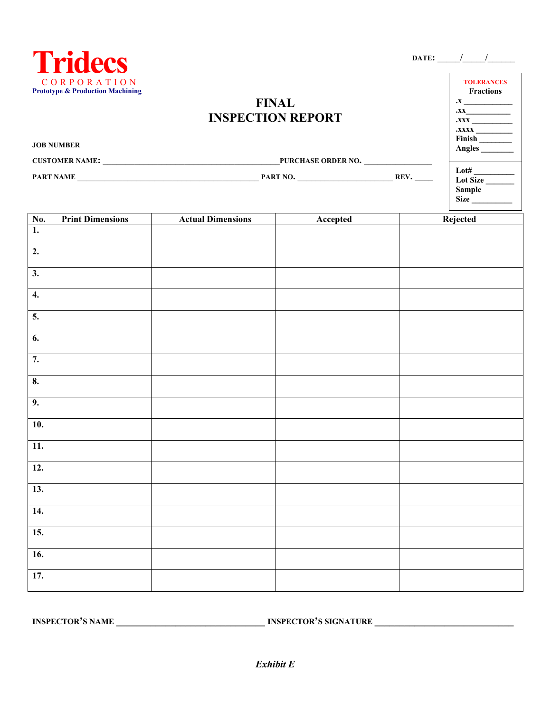| <i>i</i> ridec                                             |
|------------------------------------------------------------|
| CORPORATION<br><b>Prototype &amp; Production Machining</b> |

| DATE: |  |  |
|-------|--|--|
|       |  |  |

 $\mathbf{X}$ **.xx\_\_\_\_\_\_\_\_\_\_\_ .xxx \_\_\_\_\_\_\_\_\_\_** 

**TOLERANCES Fractions** 

# **FINAL INSPECTION REPORT**

|                    |      | Angles                                                  |
|--------------------|------|---------------------------------------------------------|
| PURCHASE ORDER NO. |      |                                                         |
| PART NO.           | REV. | Lot#<br><b>Lot Size</b><br><b>Sample</b><br><b>Size</b> |
|                    |      |                                                         |

|                                    | <b>Print Dimensions</b> | <b>Actual Dimensions</b> | Accepted | Rejected |
|------------------------------------|-------------------------|--------------------------|----------|----------|
| $\frac{\mathbf{N}\mathbf{0}}{1}$ . |                         |                          |          |          |
| $\overline{2}$ .                   |                         |                          |          |          |
| $\overline{\mathbf{3}}$ .          |                         |                          |          |          |
| 4.                                 |                         |                          |          |          |
| 5.                                 |                         |                          |          |          |
| $\overline{6}$ .                   |                         |                          |          |          |
| 7.                                 |                         |                          |          |          |
| $\overline{\mathbf{8}}$ .          |                         |                          |          |          |
| 9.                                 |                         |                          |          |          |
| $\overline{10}$ .                  |                         |                          |          |          |
| $\overline{11}$ .                  |                         |                          |          |          |
| $\overline{12}$ .                  |                         |                          |          |          |
| 13.                                |                         |                          |          |          |
| 14.                                |                         |                          |          |          |
| 15.                                |                         |                          |          |          |
| 16.                                |                         |                          |          |          |
| 17.                                |                         |                          |          |          |

**INSPECTOR'S NAME \_\_\_\_\_\_\_\_\_\_\_\_\_\_\_\_\_\_\_\_\_\_\_\_\_\_\_\_\_\_ INSPECTOR'S SIGNATURE \_\_\_\_\_\_\_\_\_\_\_\_\_\_\_\_\_\_\_\_\_\_\_\_\_\_\_\_**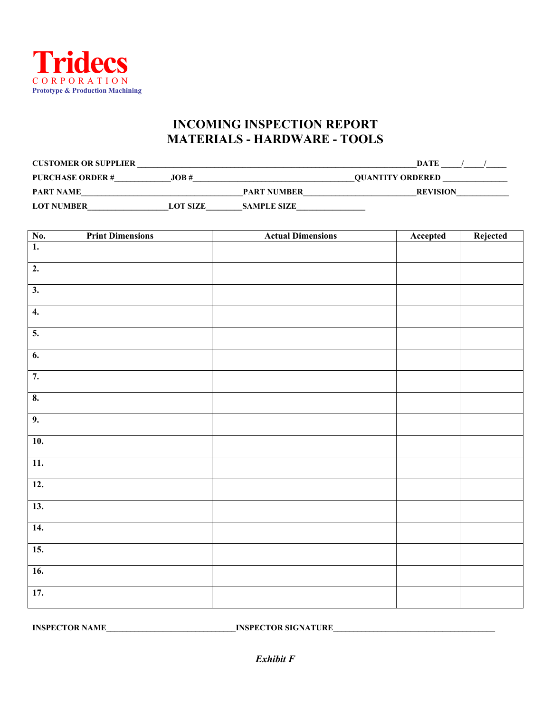

# **INCOMING INSPECTION REPORT MATERIALS - HARDWARE - TOOLS**

| <b>CUSTOMER OR SUPPLIER</b> |                 |                    | DATE                    |
|-----------------------------|-----------------|--------------------|-------------------------|
| <b>PURCHASE ORDER#</b>      | JOB#            |                    | <b>OUANTITY ORDERED</b> |
| <b>PART NAME</b>            |                 | <b>PART NUMBER</b> | <b>REVISION</b>         |
| <b>LOT NUMBER</b>           | <b>LOT SIZE</b> | <b>SAMPLE SIZE</b> |                         |

|                           | <b>Print Dimensions</b> | <b>Actual Dimensions</b> | Accepted | Rejected |
|---------------------------|-------------------------|--------------------------|----------|----------|
| $\frac{No.}{1.}$          |                         |                          |          |          |
| $\overline{2}$ .          |                         |                          |          |          |
| $\overline{3}$ .          |                         |                          |          |          |
| $\overline{4}$ .          |                         |                          |          |          |
| $\overline{5}$ .          |                         |                          |          |          |
| $\overline{6}$ .          |                         |                          |          |          |
| 7.                        |                         |                          |          |          |
| $\overline{\mathbf{8}}$ . |                         |                          |          |          |
| 9.                        |                         |                          |          |          |
| $\overline{10}$ .         |                         |                          |          |          |
| 11.                       |                         |                          |          |          |
| $\overline{12}$ .         |                         |                          |          |          |
| 13.                       |                         |                          |          |          |
| 14.                       |                         |                          |          |          |
| 15.                       |                         |                          |          |          |
| 16.                       |                         |                          |          |          |
| 17.                       |                         |                          |          |          |
|                           |                         |                          |          |          |

**INSPECTOR NAME\_\_\_\_\_\_\_\_\_\_\_\_\_\_\_\_\_\_\_\_\_\_\_\_\_\_\_\_\_\_\_\_INSPECTOR SIGNATURE\_\_\_\_\_\_\_\_\_\_\_\_\_\_\_\_\_\_\_\_\_\_\_\_\_\_\_\_\_\_\_\_\_\_\_\_\_\_\_\_**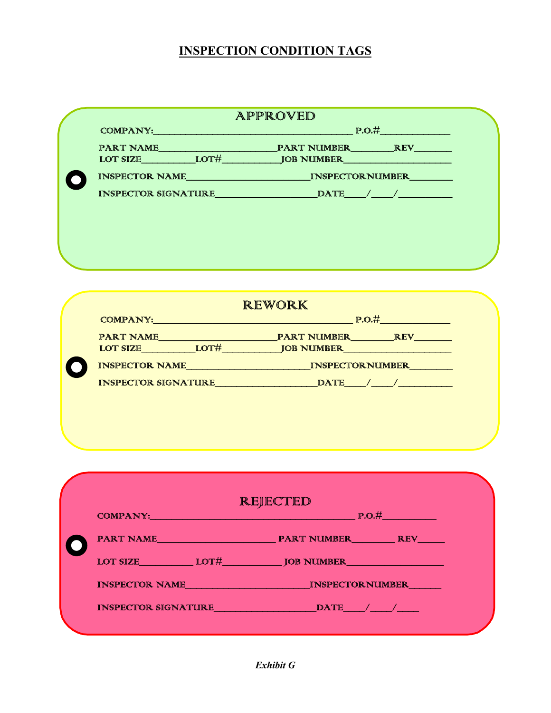# **INSPECTION CONDITION TAGS**

|                       |                            | APPROVED               |            |
|-----------------------|----------------------------|------------------------|------------|
| <b>COMPANY:</b>       |                            | P.O.#                  |            |
| <b>PART NAME</b>      |                            | <b>PART NUMBER</b>     | <b>REV</b> |
| <b>LOT SIZE</b>       | LOT#                       | <b>JOB NUMBER</b>      |            |
| <b>INSPECTOR NAME</b> |                            | <b>INSPECTORNUMBER</b> |            |
|                       | <b>INSPECTOR SIGNATURE</b> | <b>DATE</b>            |            |
|                       |                            |                        |            |
|                       |                            |                        |            |
|                       |                            |                        |            |
|                       |                            |                        |            |
|                       |                            |                        |            |

| <b>COMPANY:</b>            |      | <b>REWORK</b><br>P.O.#           |  |
|----------------------------|------|----------------------------------|--|
| <b>PART NAME</b>           |      | <b>PART NUMBER</b><br><b>REV</b> |  |
| <b>LOT SIZE</b>            | LOT# | <b>JOB NUMBER</b>                |  |
| <b>INSPECTOR NAME</b>      |      | <b>INSPECTORNUMBER</b>           |  |
| <b>INSPECTOR SIGNATURE</b> |      | <b>DATE</b>                      |  |

|          | REJECTED                                |
|----------|-----------------------------------------|
| COMPANY: | $\blacksquare$ P.O.#                    |
|          |                                         |
|          | LOT SIZE LOT HUNTER LOTE LOTE DO NUMBER |
|          | INSPECTOR NAME INSPECTORNUMBER          |
|          | INSPECTOR SIGNATURE DATE DATE           |

j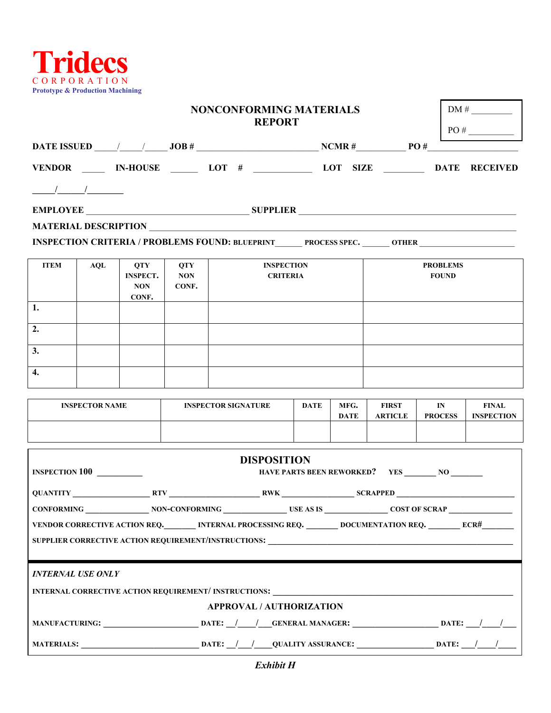

|                          | <b>NONCONFORMING MATERIALS</b><br><b>REPORT</b> |                               |                     |                                                                                                                                                                      |             |             |                |                                                     |                   |
|--------------------------|-------------------------------------------------|-------------------------------|---------------------|----------------------------------------------------------------------------------------------------------------------------------------------------------------------|-------------|-------------|----------------|-----------------------------------------------------|-------------------|
|                          |                                                 |                               |                     |                                                                                                                                                                      |             |             |                |                                                     | PO#               |
|                          |                                                 |                               |                     |                                                                                                                                                                      |             |             |                |                                                     |                   |
|                          |                                                 |                               |                     | VENDOR _____ IN-HOUSE ______ LOT # ____________ LOT SIZE ________ DATE RECEIVED                                                                                      |             |             |                |                                                     |                   |
| $\frac{1}{\sqrt{2\pi}}$  |                                                 |                               |                     |                                                                                                                                                                      |             |             |                |                                                     |                   |
|                          |                                                 |                               |                     |                                                                                                                                                                      |             |             |                |                                                     |                   |
|                          |                                                 |                               |                     |                                                                                                                                                                      |             |             |                |                                                     |                   |
|                          |                                                 |                               |                     | INSPECTION CRITERIA / PROBLEMS FOUND: BLUEPRINT PROCESS SPEC. _______ OTHER ________________________                                                                 |             |             |                |                                                     |                   |
| <b>ITEM</b>              | <b>AQL</b>                                      | <b>QTY</b>                    | <b>QTY</b>          | <b>INSPECTION</b>                                                                                                                                                    |             |             |                | <b>PROBLEMS</b>                                     |                   |
|                          |                                                 | <b>INSPECT.</b><br><b>NON</b> | <b>NON</b><br>CONF. | <b>CRITERIA</b>                                                                                                                                                      |             |             |                | <b>FOUND</b>                                        |                   |
|                          |                                                 | CONF.                         |                     |                                                                                                                                                                      |             |             |                |                                                     |                   |
| 1.                       |                                                 |                               |                     |                                                                                                                                                                      |             |             |                |                                                     |                   |
| 2.                       |                                                 |                               |                     |                                                                                                                                                                      |             |             |                |                                                     |                   |
| 3.                       |                                                 |                               |                     |                                                                                                                                                                      |             |             |                |                                                     |                   |
| $\overline{4}$ .         |                                                 |                               |                     |                                                                                                                                                                      |             |             |                |                                                     |                   |
|                          | <b>INSPECTOR NAME</b>                           |                               |                     | <b>INSPECTOR SIGNATURE</b>                                                                                                                                           | <b>DATE</b> | MFG.        | <b>FIRST</b>   | IN                                                  | <b>FINAL</b>      |
|                          |                                                 |                               |                     |                                                                                                                                                                      |             | <b>DATE</b> | <b>ARTICLE</b> | <b>PROCESS</b>                                      | <b>INSPECTION</b> |
|                          |                                                 |                               |                     |                                                                                                                                                                      |             |             |                |                                                     |                   |
|                          |                                                 |                               |                     | <b>DISPOSITION</b>                                                                                                                                                   |             |             |                |                                                     |                   |
| <b>INSPECTION 100</b>    |                                                 |                               |                     |                                                                                                                                                                      |             |             |                | HAVE PARTS BEEN REWORKED? YES _________ NO ________ |                   |
|                          |                                                 |                               |                     |                                                                                                                                                                      |             |             |                |                                                     |                   |
|                          |                                                 |                               |                     |                                                                                                                                                                      |             |             |                |                                                     |                   |
|                          |                                                 |                               |                     | VENDOR CORRECTIVE ACTION REQ. MERNAL PROCESSING REQ. MOCUMENTATION REQ. MERRANGER MERRANGER MELLE                                                                    |             |             |                |                                                     |                   |
|                          |                                                 |                               |                     |                                                                                                                                                                      |             |             |                |                                                     |                   |
|                          |                                                 |                               |                     |                                                                                                                                                                      |             |             |                |                                                     |                   |
| <b>INTERNAL USE ONLY</b> |                                                 |                               |                     |                                                                                                                                                                      |             |             |                |                                                     |                   |
|                          |                                                 |                               |                     |                                                                                                                                                                      |             |             |                |                                                     |                   |
|                          |                                                 |                               |                     | <b>APPROVAL / AUTHORIZATION</b><br>MANUFACTURING: ___________________________________DATE: __/____/______GENERAL MANAGER: ______________________DATE: ___/____/_____ |             |             |                |                                                     |                   |
|                          |                                                 |                               |                     |                                                                                                                                                                      |             |             |                |                                                     |                   |
|                          |                                                 |                               |                     |                                                                                                                                                                      |             |             |                |                                                     |                   |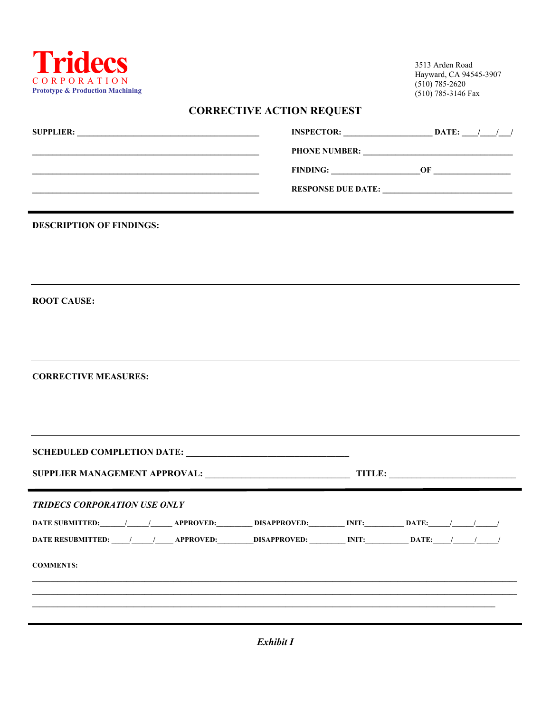

3513 Arden Road Hayward, CA 94545-3907  $(510) 785 - 2620$  $(510)$  785-3146 Fax

# **CORRECTIVE ACTION REQUEST**

| <b>SUPPLIER:</b> | <b>INSPECTOR:</b><br>DATE: |
|------------------|----------------------------|
|                  | <b>PHONE NUMBER:</b>       |
|                  | <b>FINDING:</b><br>ΩF      |
|                  | <b>RESPONSE DUE DATE:</b>  |
|                  |                            |

**DESCRIPTION OF FINDINGS:** 

**ROOT CAUSE:** 

**CORRECTIVE MEASURES:** 

|                                                              |  |  | TITLE: |
|--------------------------------------------------------------|--|--|--------|
| <b>TRIDECS CORPORATION USE ONLY</b>                          |  |  |        |
|                                                              |  |  |        |
| DATE RESUBMITTED: 1 1 APPROVED: DISAPPROVED: INIT: DATE: 1 1 |  |  |        |
| <b>COMMENTS:</b>                                             |  |  |        |
|                                                              |  |  |        |
|                                                              |  |  |        |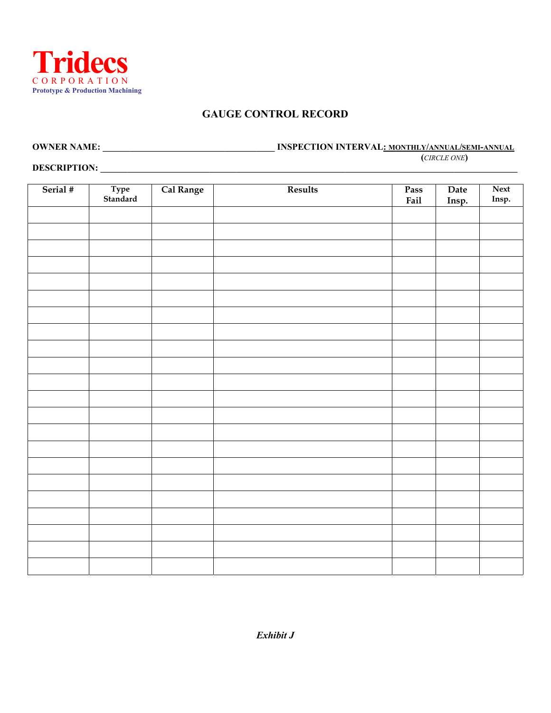

#### **GAUGE CONTROL RECORD**

**OWNER NAME: \_\_\_\_\_\_\_\_\_\_\_\_\_\_\_\_\_\_\_\_\_\_\_\_\_\_\_\_\_\_\_\_\_\_\_\_\_\_ INSPECTION INTERVAL: MONTHLY/ANNUAL/SEMI-ANNUAL (***CIRCLE ONE***)** 

**DESCRIPTION: \_\_\_\_\_\_\_\_\_\_\_\_\_\_\_\_\_\_\_\_\_\_\_\_\_\_\_\_\_\_\_\_\_\_\_\_\_\_\_\_\_\_\_\_\_\_\_\_\_\_\_\_\_\_\_\_\_\_\_\_\_\_\_\_\_\_\_\_\_\_\_\_\_\_\_\_\_\_\_\_\_\_\_\_\_\_\_\_\_\_\_\_** 

| Serial # | Type<br>Standard | Cal Range | Results | Pass<br>Fail | Date<br>Insp. | Next<br>Insp. |
|----------|------------------|-----------|---------|--------------|---------------|---------------|
|          |                  |           |         |              |               |               |
|          |                  |           |         |              |               |               |
|          |                  |           |         |              |               |               |
|          |                  |           |         |              |               |               |
|          |                  |           |         |              |               |               |
|          |                  |           |         |              |               |               |
|          |                  |           |         |              |               |               |
|          |                  |           |         |              |               |               |
|          |                  |           |         |              |               |               |
|          |                  |           |         |              |               |               |
|          |                  |           |         |              |               |               |
|          |                  |           |         |              |               |               |
|          |                  |           |         |              |               |               |
|          |                  |           |         |              |               |               |
|          |                  |           |         |              |               |               |
|          |                  |           |         |              |               |               |
|          |                  |           |         |              |               |               |
|          |                  |           |         |              |               |               |
|          |                  |           |         |              |               |               |
|          |                  |           |         |              |               |               |
|          |                  |           |         |              |               |               |
|          |                  |           |         |              |               |               |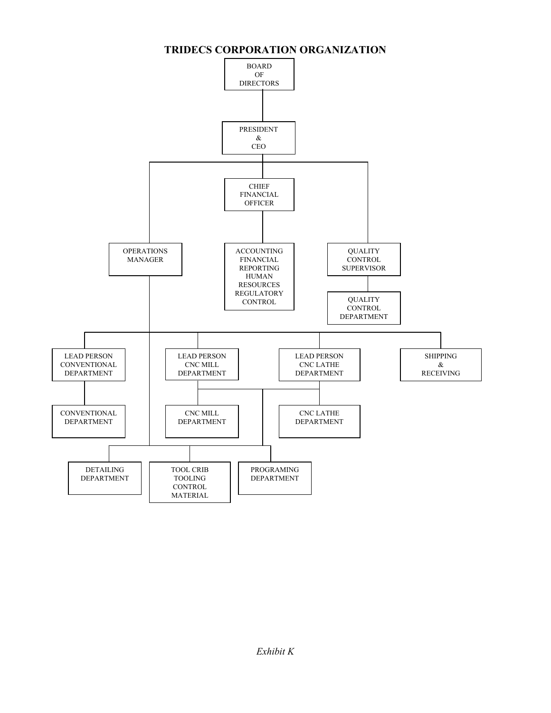

#### **TRIDECS CORPORATION ORGANIZATION**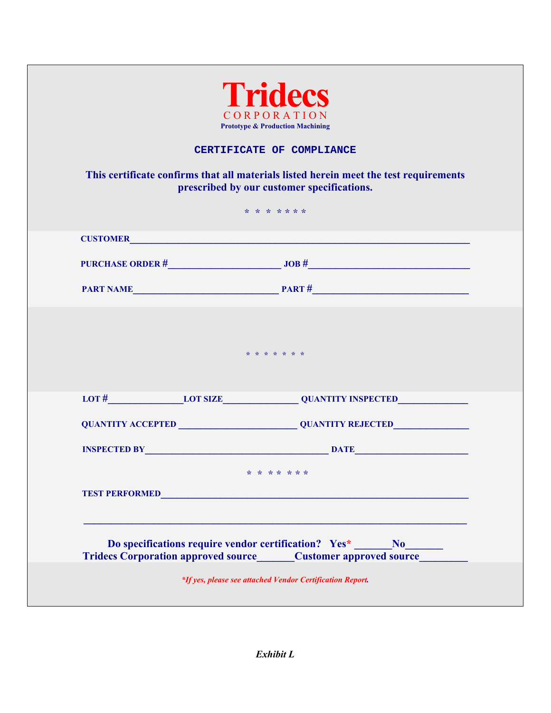|  | <b>Prototype &amp; Production Machining</b>                                                                                         |
|--|-------------------------------------------------------------------------------------------------------------------------------------|
|  | CERTIFICATE OF COMPLIANCE                                                                                                           |
|  | This certificate confirms that all materials listed herein meet the test requirements<br>prescribed by our customer specifications. |
|  | * * * * * * *                                                                                                                       |
|  |                                                                                                                                     |
|  |                                                                                                                                     |
|  |                                                                                                                                     |
|  | * * * * * * *                                                                                                                       |
|  | LOT # LOT SIZE QUANTITY INSPECTED                                                                                                   |
|  |                                                                                                                                     |
|  |                                                                                                                                     |
|  | * * * * * * *                                                                                                                       |
|  | <b>TEST PERFORMED</b>                                                                                                               |
|  |                                                                                                                                     |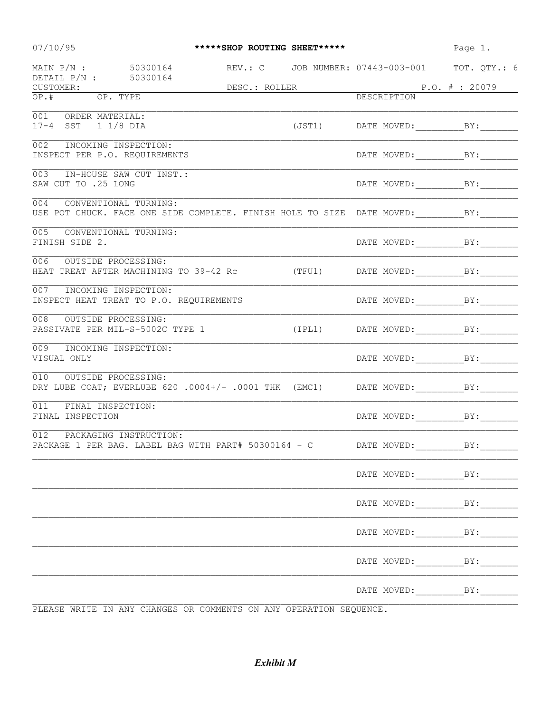| 07/10/95                                                       |                                                                                              | *****SHOP ROUTING SHEET***** |                               | Page 1.                                        |
|----------------------------------------------------------------|----------------------------------------------------------------------------------------------|------------------------------|-------------------------------|------------------------------------------------|
| MAIN P/N : 50300164<br>DETAIL P/N : 50300164                   |                                                                                              |                              |                               | REV.: C JOB NUMBER: 07443-003-001 TOT. QTY.: 6 |
| CUSTOMER:                                                      |                                                                                              | DESC.: ROLLER                | P.O. # : 20079<br>DESCRIPTION |                                                |
| OP. TYPE<br>OP.#                                               |                                                                                              |                              |                               |                                                |
| 001 ORDER MATERIAL:<br>17-4 SST 1 1/8 DIA                      |                                                                                              |                              |                               |                                                |
| 002<br>INCOMING INSPECTION:                                    |                                                                                              |                              |                               |                                                |
| INSPECT PER P.O. REQUIREMENTS                                  |                                                                                              |                              |                               |                                                |
| 003<br>SAW CUT TO .25 LONG                                     | IN-HOUSE SAW CUT INST.:                                                                      |                              |                               |                                                |
| 004 CONVENTIONAL TURNING:                                      | USE POT CHUCK. FACE ONE SIDE COMPLETE. FINISH HOLE TO SIZE DATE MOVED: __________BY:________ |                              |                               |                                                |
| 005<br>CONVENTIONAL TURNING:<br>FINISH SIDE 2.                 |                                                                                              |                              |                               |                                                |
| 006<br>OUTSIDE PROCESSING:                                     | HEAT TREAT AFTER MACHINING TO 39-42 Rc (TFU1) DATE MOVED:________________________            |                              |                               |                                                |
| 007 INCOMING INSPECTION:                                       | INSPECT HEAT TREAT TO P.O. REQUIREMENTS                                                      |                              |                               |                                                |
| 008<br>OUTSIDE PROCESSING:<br>PASSIVATE PER MIL-S-5002C TYPE 1 |                                                                                              |                              |                               | (IPL1) DATE MOVED: BY:                         |
| 009<br>INCOMING INSPECTION:<br>VISUAL ONLY                     |                                                                                              |                              |                               |                                                |
| 010 OUTSIDE PROCESSING:                                        | DRY LUBE COAT; EVERLUBE 620 .0004+/- .0001 THK (EMC1) DATE MOVED: _______________            |                              |                               |                                                |
| 011<br>FINAL INSPECTION:<br>FINAL INSPECTION                   |                                                                                              |                              |                               |                                                |
| 012 PACKAGING INSTRUCTION:                                     | PACKAGE 1 PER BAG. LABEL BAG WITH PART# 50300164 - C DATE MOVED: BY:                         |                              |                               |                                                |
|                                                                |                                                                                              |                              |                               |                                                |
|                                                                |                                                                                              |                              |                               |                                                |
|                                                                |                                                                                              |                              |                               | DATE MOVED: BY:                                |
|                                                                |                                                                                              |                              |                               |                                                |
|                                                                |                                                                                              |                              |                               |                                                |
|                                                                | PLEASE WRITE IN ANY CHANGES OR COMMENTS ON ANY OPERATION SEQUENCE.                           |                              |                               |                                                |